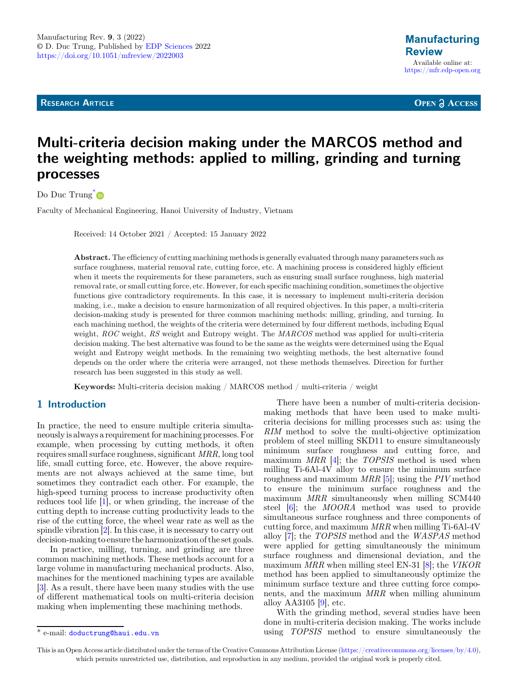**RESEARCH ARTICLE** 

**OPEN A ACCESS** 

# Multi-criteria decision making under the MARCOS method and the weighting methods: applied to milling, grinding and turning processes

Do Duc Trung<sup>[\\*](https://orcid.org/0000-0002-3190-1026)</sup>

Faculty of Mechanical Engineering, Hanoi University of Industry, Vietnam

Received: 14 October 2021 / Accepted: 15 January 2022

Abstract. The efficiency of cutting machining methods is generally evaluated through many parameters such as surface roughness, material removal rate, cutting force, etc. A machining process is considered highly efficient when it meets the requirements for these parameters, such as ensuring small surface roughness, high material removal rate, or small cutting force, etc. However, for each specific machining condition, sometimes the objective functions give contradictory requirements. In this case, it is necessary to implement multi-criteria decision making, i.e., make a decision to ensure harmonization of all required objectives. In this paper, a multi-criteria decision-making study is presented for three common machining methods: milling, grinding, and turning. In each machining method, the weights of the criteria were determined by four different methods, including Equal weight, ROC weight, RS weight and Entropy weight. The MARCOS method was applied for multi-criteria decision making. The best alternative was found to be the same as the weights were determined using the Equal weight and Entropy weight methods. In the remaining two weighting methods, the best alternative found depends on the order where the criteria were arranged, not these methods themselves. Direction for further research has been suggested in this study as well.

Keywords: Multi-criteria decision making / MARCOS method / multi-criteria / weight

## 1 Introduction

In practice, the need to ensure multiple criteria simultaneously is always a requirement for machining processes. For example, when processing by cutting methods, it often requires small surface roughness, significant MRR, long tool life, small cutting force, etc. However, the above requirements are not always achieved at the same time, but sometimes they contradict each other. For example, the high-speed turning process to increase productivity often reduces tool life [\[1](#page-11-0)], or when grinding, the increase of the cutting depth to increase cutting productivity leads to the rise of the cutting force, the wheel wear rate as well as the spindle vibration [[2\]](#page-11-0). In this case, it is necessary to carry out decision-making to ensure the harmonization of the set goals.

In practice, milling, turning, and grinding are three common machining methods. These methods account for a large volume in manufacturing mechanical products. Also, machines for the mentioned machining types are available [\[3](#page-11-0)]. As a result, there have been many studies with the use of different mathematical tools on multi-criteria decision making when implementing these machining methods.

There have been a number of multi-criteria decisionmaking methods that have been used to make multicriteria decisions for milling processes such as: using the RIM method to solve the multi-objective optimization problem of steel milling SKD11 to ensure simultaneously minimum surface roughness and cutting force, and maximum  $MRR$  [\[4](#page-11-0)]; the TOPSIS method is used when milling Ti-6Al-4V alloy to ensure the minimum surface roughness and maximum MRR [\[5](#page-11-0)]; using the PIV method to ensure the minimum surface roughness and the maximum MRR simultaneously when milling SCM440 steel [\[6](#page-11-0)]; the MOORA method was used to provide simultaneous surface roughness and three components of cutting force, and maximum MRR when milling Ti-6Al-4V alloy [\[7](#page-11-0)]; the TOPSIS method and the WASPAS method were applied for getting simultaneously the minimum surface roughness and dimensional deviation, and the maximum MRR when milling steel EN-31 [\[8](#page-11-0)]; the VIKOR method has been applied to simultaneously optimize the minimum surface texture and three cutting force components, and the maximum MRR when milling aluminum alloy AA3105 [\[9](#page-11-0)], etc.

With the grinding method, several studies have been done in multi-criteria decision making. The works include \* e-mail: [doductrung@haui.edu.vn](mailto:doductrung@haui�.�edu.vn) using TOPSIS method to ensure simultaneously the

This is an Open Access article distributed under the terms of the Creative Commons Attribution License [\(https://creativecommons.org/licenses/by/4.0\)](https://creativecommons.org/licenses/by/4.0), which permits unrestricted use, distribution, and reproduction in any medium, provided the original work is properly cited.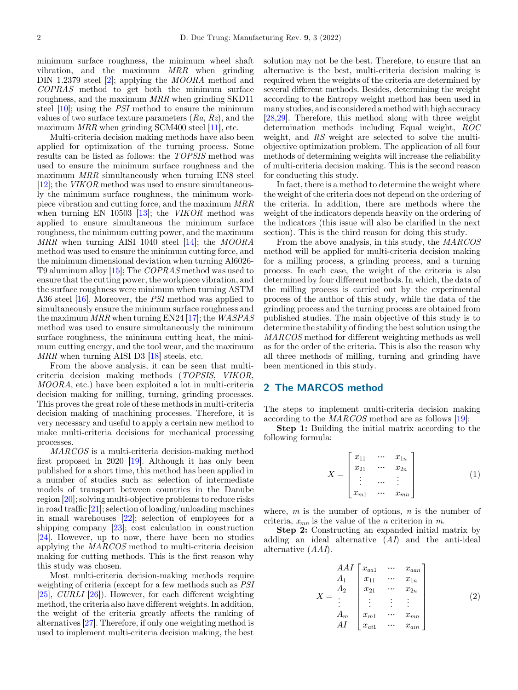<span id="page-1-0"></span>minimum surface roughness, the minimum wheel shaft vibration, and the maximum MRR when grinding DIN 1.2379 steel [\[2\]](#page-11-0); applying the *MOORA* method and COPRAS method to get both the minimum surface roughness, and the maximum MRR when grinding SKD11 steel [\[10](#page-11-0)]; using the PSI method to ensure the minimum values of two surface texture parameters  $(Ra, Rz)$ , and the maximum MRR when grinding SCM400 steel [[11\]](#page-11-0), etc.

Multi-criteria decision making methods have also been applied for optimization of the turning process. Some results can be listed as follows: the TOPSIS method was used to ensure the minimum surface roughness and the maximum MRR simultaneously when turning EN8 steel [\[12](#page-11-0)]; the VIKOR method was used to ensure simultaneously the minimum surface roughness, the minimum workpiece vibration and cutting force, and the maximum MRR when turning EN 10503  $[13]$  $[13]$ ; the VIKOR method was applied to ensure simultaneous the minimum surface roughness, the minimum cutting power, and the maximum MRR when turning AISI 1040 steel  $[14]$  $[14]$ ; the MOORA method was used to ensure the minimum cutting force, and the minimum dimensional deviation when turning Al6026- T9 aluminum alloy [\[15](#page-12-0)]; The COPRAS method was used to ensure that the cutting power, the workpiece vibration, and the surface roughness were minimum when turning ASTM A36 steel [\[16](#page-12-0)]. Moreover, the PSI method was applied to simultaneously ensure the minimum surface roughness and the maximum MRR when turning EN24 [\[17](#page-12-0)]; the WASPAS method was used to ensure simultaneously the minimum surface roughness, the minimum cutting heat, the minimum cutting energy, and the tool wear, and the maximum MRR when turning AISI D3 [[18\]](#page-12-0) steels, etc.

From the above analysis, it can be seen that multicriteria decision making methods (TOPSIS, VIKOR, MOORA, etc.) have been exploited a lot in multi-criteria decision making for milling, turning, grinding processes. This proves the great role of these methods in multi-criteria decision making of machining processes. Therefore, it is very necessary and useful to apply a certain new method to make multi-criteria decisions for mechanical processing processes.

MARCOS is a multi-criteria decision-making method first proposed in 2020 [\[19](#page-12-0)]. Although it has only been published for a short time, this method has been applied in a number of studies such as: selection of intermediate models of transport between countries in the Danube region [[20\]](#page-12-0); solving multi-objective problems to reduce risks in road traffic [[21\]](#page-12-0); selection of loading/unloading machines in small warehouses [\[22](#page-12-0)]; selection of employees for a shipping company [[23\]](#page-12-0); cost calculation in construction [\[24](#page-12-0)]. However, up to now, there have been no studies applying the MARCOS method to multi-criteria decision making for cutting methods. This is the first reason why this study was chosen.

Most multi-criteria decision-making methods require weighting of criteria (except for a few methods such as PSI [\[25](#page-12-0)], CURLI [\[26](#page-12-0)]). However, for each different weighting method, the criteria also have different weights. In addition, the weight of the criteria greatly affects the ranking of alternatives [\[27](#page-12-0)]. Therefore, if only one weighting method is used to implement multi-criteria decision making, the best

solution may not be the best. Therefore, to ensure that an alternative is the best, multi-criteria decision making is required when the weights of the criteria are determined by several different methods. Besides, determining the weight according to the Entropy weight method has been used in many studies, and is considered a method with high accuracy [\[28,29](#page-12-0)]. Therefore, this method along with three weight determination methods including Equal weight, ROC weight, and RS weight are selected to solve the multiobjective optimization problem. The application of all four methods of determining weights will increase the reliability of multi-criteria decision making. This is the second reason for conducting this study.

In fact, there is a method to determine the weight where the weight of the criteria does not depend on the ordering of the criteria. In addition, there are methods where the weight of the indicators depends heavily on the ordering of the indicators (this issue will also be clarified in the next section). This is the third reason for doing this study.

From the above analysis, in this study, the MARCOS method will be applied for multi-criteria decision making for a milling process, a grinding process, and a turning process. In each case, the weight of the criteria is also determined by four different methods. In which, the data of the milling process is carried out by the experimental process of the author of this study, while the data of the grinding process and the turning process are obtained from published studies. The main objective of this study is to determine the stability of finding the best solution using the MARCOS method for different weighting methods as well as for the order of the criteria. This is also the reason why all three methods of milling, turning and grinding have been mentioned in this study.

### 2 The MARCOS method

The steps to implement multi-criteria decision making according to the MARCOS method are as follows [\[19](#page-12-0)]:

Step 1: Building the initial matrix according to the following formula:

$$
X = \begin{bmatrix} x_{11} & \cdots & x_{1n} \\ x_{21} & \cdots & x_{2n} \\ \vdots & \cdots & \vdots \\ x_{m1} & \cdots & x_{mn} \end{bmatrix}
$$
 (1)

where,  $m$  is the number of options,  $n$  is the number of criteria,  $x_{mn}$  is the value of the *n* criterion in *m*.

Step 2: Constructing an expanded initial matrix by adding an ideal alternative  $(AI)$  and the anti-ideal alternative (AAI).

$$
X = \begin{pmatrix} AAI & x_{aa1} & \cdots & x_{aan} \\ A_1 & x_{11} & \cdots & x_{1n} \\ x_{21} & \cdots & x_{2n} \\ \vdots & \vdots & \vdots & \vdots \\ A_m & x_{m1} & \cdots & x_{mn} \\ AI & x_{ai1} & \cdots & x_{ain} \end{pmatrix}
$$
 (2)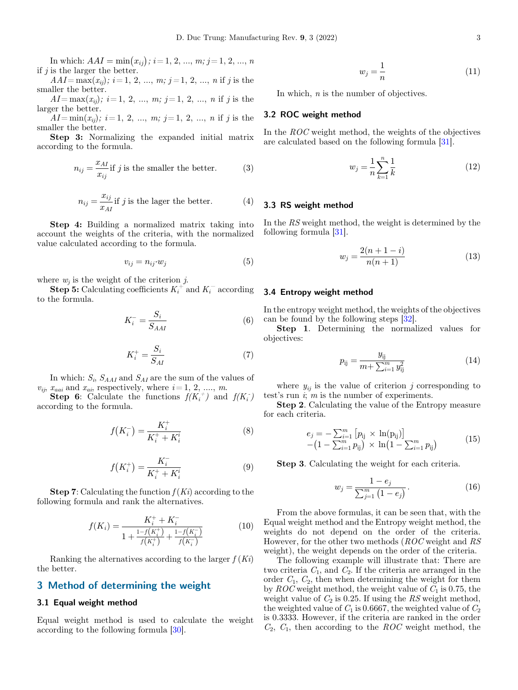<span id="page-2-0"></span>In which:  $AAI = \min(x_{ij})$ ;  $i = 1, 2, ..., m$ ;  $j = 1, 2, ..., n$ <br>is the larger the better if  $j$  is the larger the better.

 $AAI = \max(x_{ij}); i = 1, 2, ..., m; j = 1, 2, ..., n$  if j is the smaller the better.

 $AI = \max(x_{ij}); i = 1, 2, ..., m; j = 1, 2, ..., n$  if j is the larger the better.

 $A I = \min(x_{ij})$ ;  $i = 1, 2, ..., m$ ;  $j = 1, 2, ..., n$  if j is the smaller the better.

Step 3: Normalizing the expanded initial matrix according to the formula.

$$
n_{ij} = \frac{x_{AI}}{x_{ij}}
$$
 if *j* is the smaller the better. (3)

$$
n_{ij} = \frac{x_{ij}}{x_{AI}} \text{ if } j \text{ is the larger the better.} \tag{4}
$$

Step 4: Building a normalized matrix taking into account the weights of the criteria, with the normalized value calculated according to the formula.

$$
v_{ij} = n_{ij} \cdot w_j \tag{5}
$$

where  $w_i$  is the weight of the criterion j.

**Step 5:** Calculating coefficients  $K_i^+$  and  $K_i^-$  according to the formula.

$$
K_i^- = \frac{S_i}{S_{AAI}}\tag{6}
$$

$$
K_i^+ = \frac{S_i}{S_{AI}}\tag{7}
$$

In which:  $S_i$ ,  $S_{AAI}$  and  $S_{AI}$  are the sum of the values of  $v_{ij}$ ,  $x_{aai}$  and  $x_{ai}$ , respectively, where  $i = 1, 2, ..., m$ .

**Step 6:** Calculate the functions  $f(K_i^+)$  and  $f(K_i^-)$ according to the formula.

$$
f(K_i^-) = \frac{K_i^+}{K_i^+ + K_i^i}
$$
 (8)

$$
f\left(K_i^+\right) = \frac{K_i^-}{K_i^+ + K_i^i} \tag{9}
$$

**Step 7:** Calculating the function  $f(K_i)$  according to the following formula and rank the alternatives.

$$
f(K_i) = \frac{K_i^+ + K_i^-}{1 + \frac{1 - f(K_i^+)}{f(K_i^+)} + \frac{1 - f(K_i^-)}{f(K_i^-)}}\tag{10}
$$

Ranking the alternatives according to the larger  $f(K_i)$ the better.

#### 3 Method of determining the weight

#### 3.1 Equal weight method

Equal weight method is used to calculate the weight according to the following formula [[30\]](#page-12-0).

$$
w_j = \frac{1}{n} \tag{11}
$$

In which, n is the number of objectives.

#### 3.2 ROC weight method

In the ROC weight method, the weights of the objectives are calculated based on the following formula [\[31](#page-12-0)].

$$
w_j = \frac{1}{n} \sum_{k=1}^{n} \frac{1}{k}
$$
 (12)

#### 3.3 RS weight method

In the RS weight method, the weight is determined by the following formula [\[31](#page-12-0)].

$$
w_j = \frac{2(n+1-i)}{n(n+1)}
$$
 (13)

#### 3.4 Entropy weight method

In the entropy weight method, the weights of the objectives can be found by the following steps [\[32](#page-12-0)].

Step 1. Determining the normalized values for objectives:

$$
p_{ij} = \frac{y_{ij}}{m + \sum_{i=1}^{m} y_{ij}^2}
$$
 (14)

where  $y_{ij}$  is the value of criterion j corresponding to test's run  $i$ ; m is the number of experiments.

Step 2. Calculating the value of the Entropy measure for each criteria.

$$
e_j = -\sum_{i=1}^{m} \left[ p_{ij} \times \ln(p_{ij}) \right] - \left( 1 - \sum_{i=1}^{m} p_{ij} \right) \times \ln \left( 1 - \sum_{i=1}^{m} p_{ij} \right)
$$
 (15)

Step 3. Calculating the weight for each criteria.

$$
w_j = \frac{1 - e_j}{\sum_{j=1}^{m} (1 - e_j)}.
$$
 (16)

From the above formulas, it can be seen that, with the Equal weight method and the Entropy weight method, the weights do not depend on the order of the criteria. However, for the other two methods (ROC weight and RS weight), the weight depends on the order of the criteria.

The following example will illustrate that: There are two criteria  $C_1$ , and  $C_2$ . If the criteria are arranged in the order  $C_1$ ,  $C_2$ , then when determining the weight for them by  $ROC$  weight method, the weight value of  $C_1$  is 0.75, the weight value of  $C_2$  is 0.25. If using the RS weight method, the weighted value of  $C_1$  is 0.6667, the weighted value of  $C_2$ is 0.3333. However, if the criteria are ranked in the order  $C_2$ ,  $C_1$ , then according to the ROC weight method, the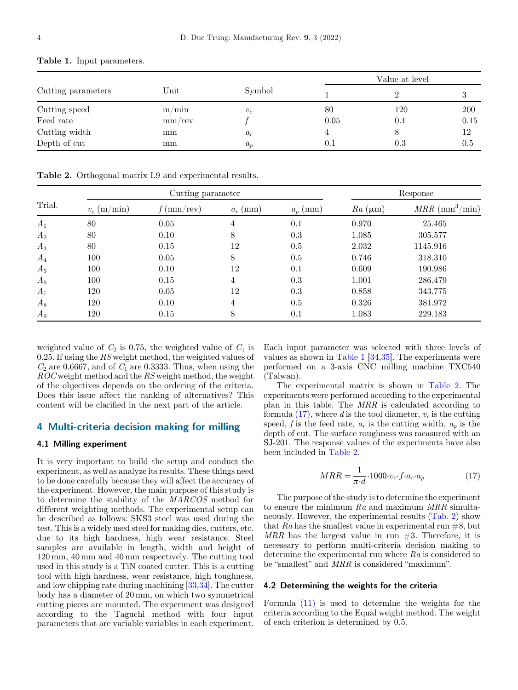|                    |                       |        | Value at level |     |         |
|--------------------|-----------------------|--------|----------------|-----|---------|
| Cutting parameters | $\operatorname{Unit}$ | Symbol |                |     |         |
| Cutting speed      | m/min                 | $v_c$  | 80             | 120 | 200     |
| Feed rate          | mm/rev                |        | 0.05           | 0.1 | 0.15    |
| Cutting width      | mm                    | $a_r$  |                |     | 12      |
| Depth of cut       | mm                    | $a_p$  | 0.1            | 0.3 | $0.5\,$ |

<span id="page-3-0"></span>Table 1. Input parameters.

Table 2. Orthogonal matrix L9 and experimental results.

|        |               | Cutting parameter |            | Response   |                |                                   |
|--------|---------------|-------------------|------------|------------|----------------|-----------------------------------|
| Trial. | $v_c$ (m/min) | $f$ (mm/rev)      | $a_r$ (mm) | $a_p$ (mm) | $Ra \ (\mu m)$ | $MRR \; (\text{mm}^3/\text{min})$ |
| $A_1$  | 80            | 0.05              | 4          | 0.1        | 0.970          | 25.465                            |
| $A_2$  | 80            | 0.10              | 8          | 0.3        | 1.085          | 305.577                           |
| $A_3$  | 80            | 0.15              | 12         | 0.5        | 2.032          | 1145.916                          |
| $A_4$  | 100           | 0.05              | 8          | 0.5        | 0.746          | 318.310                           |
| $A_5$  | 100           | 0.10              | 12         | 0.1        | 0.609          | 190.986                           |
| $A_6$  | 100           | 0.15              | 4          | 0.3        | 1.001          | 286.479                           |
| $A_7$  | 120           | 0.05              | 12         | 0.3        | 0.858          | 343.775                           |
| $A_8$  | 120           | 0.10              | 4          | 0.5        | 0.326          | 381.972                           |
| $A_9$  | 120           | 0.15              | 8          | 0.1        | 1.083          | 229.183                           |

weighted value of  $C_2$  is 0.75, the weighted value of  $C_1$  is 0.25. If using the RS weight method, the weighted values of  $C_2$  are 0.6667, and of  $C_1$  are 0.3333. Thus, when using the ROC weight method and the RS weight method, the weight of the objectives depends on the ordering of the criteria. Does this issue affect the ranking of alternatives? This content will be clarified in the next part of the article.

#### 4 Multi-criteria decision making for milling

#### 4.1 Milling experiment

It is very important to build the setup and conduct the experiment, as well as analyze its results. These things need to be done carefully because they will affect the accuracy of the experiment. However, the main purpose of this study is to determine the stability of the MARCOS method for different weighting methods. The experimental setup can be described as follows: SKS3 steel was used during the test. This is a widely used steel for making dies, cutters, etc. due to its high hardness, high wear resistance. Steel samples are available in length, width and height of 120 mm, 40 mm and 40 mm respectively. The cutting tool used in this study is a TiN coated cutter. This is a cutting tool with high hardness, wear resistance, high toughness, and low chipping rate during machining [\[33,34](#page-12-0)]. The cutter body has a diameter of 20 mm, on which two symmetrical cutting pieces are mounted. The experiment was designed according to the Taguchi method with four input parameters that are variable variables in each experiment.

Each input parameter was selected with three levels of values as shown in Table 1 [[34,35](#page-12-0)]. The experiments were performed on a 3-axis CNC milling machine TXC540 (Taiwan).

The experimental matrix is shown in Table 2. The experiments were performed according to the experimental plan in this table. The MRR is calculated according to formula  $(17)$ , where d is the tool diameter,  $v_c$  is the cutting speed, f is the feed rate,  $a_r$  is the cutting width,  $a_p$  is the depth of cut. The surface roughness was measured with an SJ-201. The response values of the experiments have also been included in Table 2.

$$
MRR = \frac{1}{\pi \cdot d} \cdot 1000 \cdot v_c \cdot f \cdot a_r \cdot a_p \tag{17}
$$

The purpose of the study is to determine the experiment to ensure the minimum Ra and maximum MRR simultaneously. However, the experimental results (Tab. 2) show that Ra has the smallest value in experimental run  $#8$ , but MRR has the largest value in run  $#3$ . Therefore, it is necessary to perform multi-criteria decision making to determine the experimental run where Ra is considered to be "smallest" and MRR is considered "maximum".

#### 4.2 Determining the weights for the criteria

Formula [\(11\)](#page-2-0) is used to determine the weights for the criteria according to the Equal weight method. The weight of each criterion is determined by 0.5.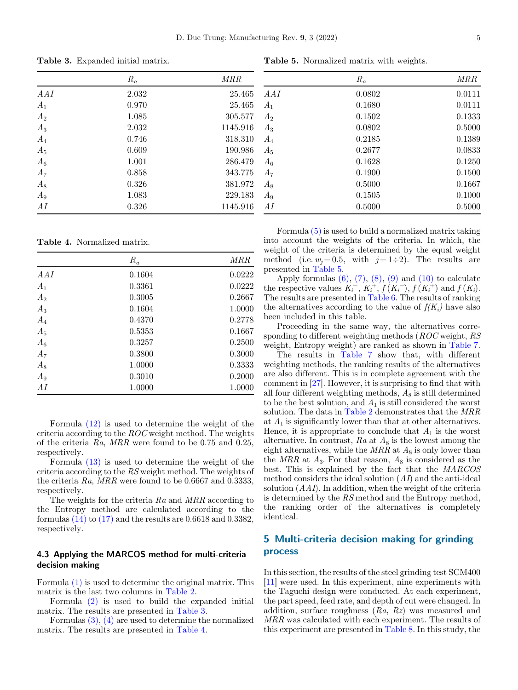$R_a$  MRR AAI 2.032 25.465  $A_1$  0.970 25.465  $A_2$  1.085 305.577  $A_3$  2.032 1145.916  $A_4$  0.746 318.310 A<sub>5</sub> 0.609 190.986  $A_6$  1.001 286.479  $A_7$  0.858 343.775  $A_8$  0.326 381.972  $A_9$  1.083 229.183 AI 0.326 1145.916

Table 3. Expanded initial matrix.

Table 4. Normalized matrix.

|       | $R_a$  | MRR    |
|-------|--------|--------|
| AAI   | 0.1604 | 0.0222 |
| $A_1$ | 0.3361 | 0.0222 |
| $A_2$ | 0.3005 | 0.2667 |
| $A_3$ | 0.1604 | 1.0000 |
| $A_4$ | 0.4370 | 0.2778 |
| $A_5$ | 0.5353 | 0.1667 |
| $A_6$ | 0.3257 | 0.2500 |
| $A_7$ | 0.3800 | 0.3000 |
| $A_8$ | 1.0000 | 0.3333 |
| $A_9$ | 0.3010 | 0.2000 |
| AI    | 1.0000 | 1.0000 |

Formula [\(12\)](#page-2-0) is used to determine the weight of the criteria according to the ROC weight method. The weights of the criteria Ra, MRR were found to be 0.75 and 0.25, respectively.

Formula [\(13\)](#page-2-0) is used to determine the weight of the criteria according to the RS weight method. The weights of the criteria Ra, MRR were found to be 0.6667 and 0.3333, respectively.

The weights for the criteria Ra and MRR according to the Entropy method are calculated according to the formulas  $(14)$  to  $(17)$  and the results are 0.6618 and 0.3382, respectively.

#### 4.3 Applying the MARCOS method for multi-criteria decision making

Formula [\(1\)](#page-1-0) is used to determine the original matrix. This matrix is the last two columns in [Table 2.](#page-3-0)

Formula [\(2\)](#page-1-0) is used to build the expanded initial matrix. The results are presented in Table 3.

Formulas [\(3\)](#page-2-0), [\(4\)](#page-2-0) are used to determine the normalized matrix. The results are presented in Table 4.

Table 5. Normalized matrix with weights.

|       | $R_a$  | MRR    |
|-------|--------|--------|
| AAI   | 0.0802 | 0.0111 |
| $A_1$ | 0.1680 | 0.0111 |
| $A_2$ | 0.1502 | 0.1333 |
| $A_3$ | 0.0802 | 0.5000 |
| $A_4$ | 0.2185 | 0.1389 |
| $A_5$ | 0.2677 | 0.0833 |
| $A_6$ | 0.1628 | 0.1250 |
| $A_7$ | 0.1900 | 0.1500 |
| $A_8$ | 0.5000 | 0.1667 |
| $A_9$ | 0.1505 | 0.1000 |
| AI    | 0.5000 | 0.5000 |
|       |        |        |

Formula [\(5\)](#page-2-0) is used to build a normalized matrix taking into account the weights of the criteria. In which, the weight of the criteria is determined by the equal weight method (i.e.  $w_i = 0.5$ , with  $j = 1 \div 2$ ). The results are presented in Table 5.

Apply formulas  $(6)$ ,  $(7)$ ,  $(8)$ ,  $(9)$  and  $(10)$  to calculate the respective values  $K_i^-$ ,  $K_i^+$ ,  $f(K_i^-)$ ,  $f(K_i^+)$  and  $f(K_i)$ . The results are presented in [Table 6.](#page-5-0) The results of ranking the alternatives according to the value of  $f(K_i)$  have also been included in this table.

Proceeding in the same way, the alternatives corresponding to different weighting methods (ROC weight, RS weight, Entropy weight) are ranked as shown in [Table 7.](#page-5-0)

The results in [Table 7](#page-5-0) show that, with different weighting methods, the ranking results of the alternatives are also different. This is in complete agreement with the comment in [[27\]](#page-12-0). However, it is surprising to find that with all four different weighting methods,  $A_8$  is still determined to be the best solution, and  $A_1$  is still considered the worst solution. The data in [Table 2](#page-3-0) demonstrates that the MRR at  $A_1$  is significantly lower than that at other alternatives. Hence, it is appropriate to conclude that  $A_1$  is the worst alternative. In contrast,  $Ra$  at  $A_8$  is the lowest among the eight alternatives, while the  $MRR$  at  $A_8$  is only lower than the  $MRR$  at  $A_3$ . For that reason,  $A_8$  is considered as the best. This is explained by the fact that the MARCOS method considers the ideal solution  $(AI)$  and the anti-ideal solution  $(AAI)$ . In addition, when the weight of the criteria is determined by the RS method and the Entropy method, the ranking order of the alternatives is completely identical.

# 5 Multi-criteria decision making for grinding process

In this section, the results of the steel grinding test SCM400 [\[11](#page-11-0)] were used. In this experiment, nine experiments with the Taguchi design were conducted. At each experiment, the part speed, feed rate, and depth of cut were changed. In addition, surface roughness  $(Ra, Rz)$  was measured and MRR was calculated with each experiment. The results of this experiment are presented in [Table 8.](#page-6-0) In this study, the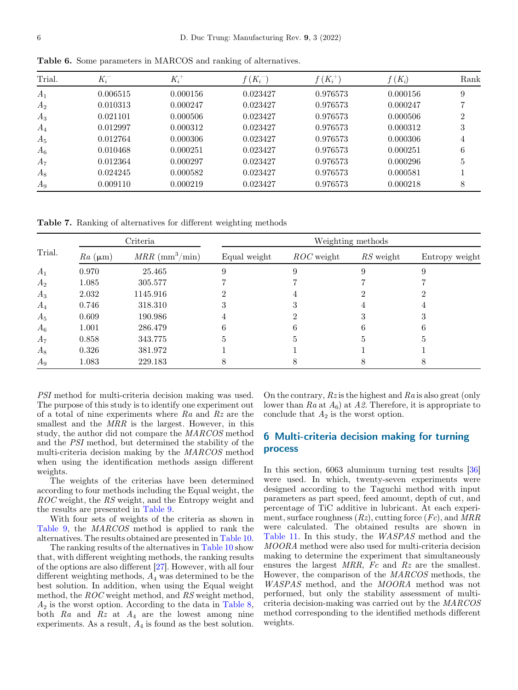| Trial. | $K_i^-$  | $K_i^+$  | $f(K_i^-)$ | $f\left(K_i^+\right)$ | $f(K_i)$ | Rank |
|--------|----------|----------|------------|-----------------------|----------|------|
| $A_1$  | 0.006515 | 0.000156 | 0.023427   | 0.976573              | 0.000156 | 9    |
| $A_2$  | 0.010313 | 0.000247 | 0.023427   | 0.976573              | 0.000247 |      |
| $A_3$  | 0.021101 | 0.000506 | 0.023427   | 0.976573              | 0.000506 | 2    |
| $A_4$  | 0.012997 | 0.000312 | 0.023427   | 0.976573              | 0.000312 | 3    |
| $A_5$  | 0.012764 | 0.000306 | 0.023427   | 0.976573              | 0.000306 | 4    |
| $A_6$  | 0.010468 | 0.000251 | 0.023427   | 0.976573              | 0.000251 | 6    |
| $A_7$  | 0.012364 | 0.000297 | 0.023427   | 0.976573              | 0.000296 | 5    |
| $A_8$  | 0.024245 | 0.000582 | 0.023427   | 0.976573              | 0.000581 |      |
| $A_9$  | 0.009110 | 0.000219 | 0.023427   | 0.976573              | 0.000218 | 8    |

<span id="page-5-0"></span>Table 6. Some parameters in MARCOS and ranking of alternatives.

Table 7. Ranking of alternatives for different weighting methods

|        | Criteria       |                                   | Weighting methods |              |           |                |  |  |
|--------|----------------|-----------------------------------|-------------------|--------------|-----------|----------------|--|--|
| Trial. | $Ra \ (\mu m)$ | $MRR \; (\text{mm}^3/\text{min})$ | Equal weight      | $ROC$ weight | RS weight | Entropy weight |  |  |
| $A_1$  | 0.970          | 25.465                            | 9                 | 9            |           |                |  |  |
| $A_2$  | 1.085          | 305.577                           |                   |              |           |                |  |  |
| $A_3$  | 2.032          | 1145.916                          |                   |              |           |                |  |  |
| $A_4$  | 0.746          | 318.310                           | ۰,                |              |           |                |  |  |
| $A_5$  | 0.609          | 190.986                           |                   |              |           |                |  |  |
| $A_6$  | 1.001          | 286.479                           | 6                 | 6            |           |                |  |  |
| $A_7$  | 0.858          | 343.775                           | 5                 |              |           |                |  |  |
| $A_8$  | 0.326          | 381.972                           |                   |              |           |                |  |  |
| $A_9$  | 1.083          | 229.183                           | 8                 |              |           |                |  |  |

PSI method for multi-criteria decision making was used. The purpose of this study is to identify one experiment out of a total of nine experiments where  $Ra$  and  $Rz$  are the smallest and the MRR is the largest. However, in this study, the author did not compare the MARCOS method and the PSI method, but determined the stability of the multi-criteria decision making by the MARCOS method when using the identification methods assign different weights.

The weights of the criterias have been determined according to four methods including the Equal weight, the ROC weight, the RS weight, and the Entropy weight and the results are presented in [Table 9.](#page-6-0)

With four sets of weights of the criteria as shown in [Table 9](#page-6-0), the MARCOS method is applied to rank the alternatives. The results obtained are presented in [Table 10](#page-6-0).

The ranking results of the alternatives in [Table 10](#page-6-0) show that, with different weighting methods, the ranking results of the options are also different [\[27](#page-12-0)]. However, with all four different weighting methods,  $A_4$  was determined to be the best solution. In addition, when using the Equal weight method, the ROC weight method, and RS weight method,  $A_2$  is the worst option. According to the data in [Table 8](#page-6-0), both  $Ra$  and  $Rz$  at  $A_4$  are the lowest among nine experiments. As a result,  $A_4$  is found as the best solution.

On the contrary,  $Rz$  is the highest and  $Ra$  is also great (only lower than  $Ra$  at  $A_6$ ) at  $A_2$ . Therefore, it is appropriate to conclude that  $A_2$  is the worst option.

# 6 Multi-criteria decision making for turning process

In this section, 6063 aluminum turning test results [\[36\]](#page-12-0) were used. In which, twenty-seven experiments were designed according to the Taguchi method with input parameters as part speed, feed amount, depth of cut, and percentage of TiC additive in lubricant. At each experiment, surface roughness  $(Rz)$ , cutting force  $(Fc)$ , and  $MRR$ were calculated. The obtained results are shown in [Table 11.](#page-7-0) In this study, the WASPAS method and the MOORA method were also used for multi-criteria decision making to determine the experiment that simultaneously ensures the largest  $MRR$ ,  $Fc$  and  $Rz$  are the smallest. However, the comparison of the MARCOS methods, the WASPAS method, and the MOORA method was not performed, but only the stability assessment of multicriteria decision-making was carried out by the MARCOS method corresponding to the identified methods different weights.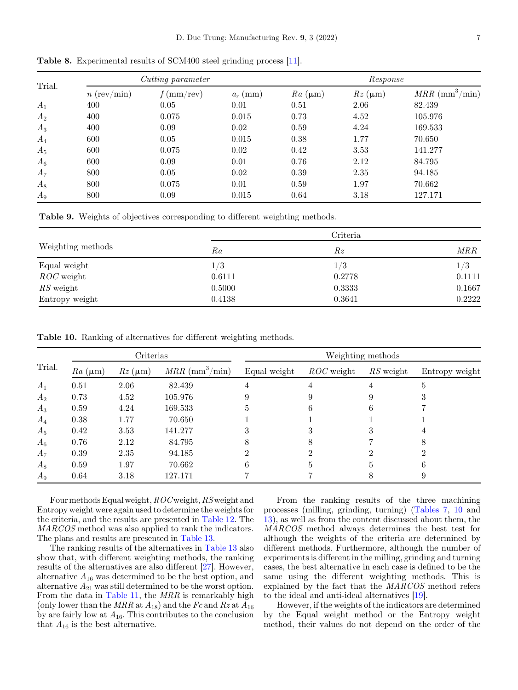| Trial. | Cutting parameter     |              |            |             | Response        |                                   |  |  |
|--------|-----------------------|--------------|------------|-------------|-----------------|-----------------------------------|--|--|
|        | $n \text{ (rev/min)}$ | $f$ (mm/rev) | $a_r$ (mm) | $Ra(\mu m)$ | $Rz$ ( $\mu$ m) | $MRR \; (\text{mm}^3/\text{min})$ |  |  |
| $A_1$  | 400                   | 0.05         | 0.01       | 0.51        | 2.06            | 82.439                            |  |  |
| $A_2$  | 400                   | 0.075        | 0.015      | 0.73        | 4.52            | 105.976                           |  |  |
| $A_3$  | 400                   | 0.09         | 0.02       | 0.59        | 4.24            | 169.533                           |  |  |
| $A_4$  | 600                   | 0.05         | 0.015      | 0.38        | 1.77            | 70.650                            |  |  |
| $A_5$  | 600                   | 0.075        | 0.02       | 0.42        | 3.53            | 141.277                           |  |  |
| $A_6$  | 600                   | 0.09         | 0.01       | 0.76        | 2.12            | 84.795                            |  |  |
| $A_7$  | 800                   | 0.05         | 0.02       | 0.39        | 2.35            | 94.185                            |  |  |
| $A_8$  | 800                   | 0.075        | 0.01       | 0.59        | 1.97            | 70.662                            |  |  |
| $A_9$  | 800                   | 0.09         | 0.015      | 0.64        | 3.18            | 127.171                           |  |  |

<span id="page-6-0"></span>Table 8. Experimental results of SCM400 steel grinding process [\[11](#page-11-0)].

Table 9. Weights of objectives corresponding to different weighting methods.

|                   |        | Criteria |            |
|-------------------|--------|----------|------------|
| Weighting methods | Ra     | Rz       | <b>MRR</b> |
| Equal weight      | 1/3    | 1/3      | 1/3        |
| $ROC$ weight      | 0.6111 | 0.2778   | 0.1111     |
| $RS$ weight       | 0.5000 | 0.3333   | 0.1667     |
| Entropy weight    | 0.4138 | 0.3641   | 0.2222     |

Table 10. Ranking of alternatives for different weighting methods.

|        | Criterias   |                |                                   |              |              | Weighting methods |                |
|--------|-------------|----------------|-----------------------------------|--------------|--------------|-------------------|----------------|
| Trial. | $Ra(\mu m)$ | $Rz \ (\mu m)$ | $MRR \; (\text{mm}^3/\text{min})$ | Equal weight | $ROC$ weight | RS weight         | Entropy weight |
| $A_1$  | 0.51        | 2.06           | 82.439                            |              |              |                   |                |
| $A_2$  | 0.73        | 4.52           | 105.976                           |              |              |                   |                |
| $A_3$  | 0.59        | 4.24           | 169.533                           |              | h            | b                 |                |
| $A_4$  | 0.38        | 1.77           | 70.650                            |              |              |                   |                |
| $A_5$  | 0.42        | 3.53           | 141.277                           |              |              |                   |                |
| $A_6$  | 0.76        | 2.12           | 84.795                            |              | 8            |                   |                |
| $A_7$  | 0.39        | 2.35           | 94.185                            |              |              |                   |                |
| $A_8$  | 0.59        | 1.97           | 70.662                            | 6            | Ð            | h                 |                |
| $A_9$  | 0.64        | 3.18           | 127.171                           |              |              |                   |                |

Four methods Equal weight,  $ROC$  weight,  $RS$  weight and Entropy weight were again used to determine the weights for the criteria, and the results are presented in [Table 12](#page-7-0). The MARCOS method was also applied to rank the indicators. The plans and results are presented in [Table 13.](#page-8-0)

The ranking results of the alternatives in [Table 13](#page-8-0) also show that, with different weighting methods, the ranking results of the alternatives are also different [\[27](#page-12-0)]. However, alternative  $A_{16}$  was determined to be the best option, and alternative  $A_{21}$  was still determined to be the worst option. From the data in [Table 11,](#page-7-0) the MRR is remarkably high (only lower than the MRR at  $A_{18}$ ) and the Fc and Rz at  $A_{16}$ by are fairly low at  $A_{16}$ . This contributes to the conclusion that  $A_{16}$  is the best alternative.

From the ranking results of the three machining processes (milling, grinding, turning) [\(Tables 7,](#page-5-0) 10 and [13](#page-8-0)), as well as from the content discussed about them, the MARCOS method always determines the best test for although the weights of the criteria are determined by different methods. Furthermore, although the number of experiments is different in the milling, grinding and turning cases, the best alternative in each case is defined to be the same using the different weighting methods. This is explained by the fact that the MARCOS method refers to the ideal and anti-ideal alternatives [[19\]](#page-12-0).

However, if the weights of the indicators are determined by the Equal weight method or the Entropy weight method, their values do not depend on the order of the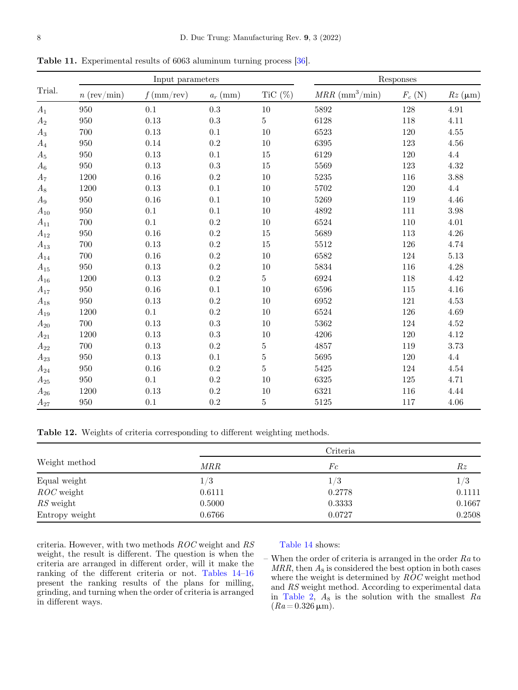<span id="page-7-0"></span>

|  |  | Table 11. Experimental results of 6063 aluminum turning process [36]. |  |  |  |  |  |  |  |
|--|--|-----------------------------------------------------------------------|--|--|--|--|--|--|--|
|--|--|-----------------------------------------------------------------------|--|--|--|--|--|--|--|

|          |               | Input parameters |            |                |                                   | Responses |                 |  |  |
|----------|---------------|------------------|------------|----------------|-----------------------------------|-----------|-----------------|--|--|
| Trial.   | $n$ (rev/min) | $f$ (mm/rev)     | $a_r$ (mm) | TiC $(\%)$     | $MRR \; (\text{mm}^3/\text{min})$ | $F_c(N)$  | $Rz$ ( $\mu$ m) |  |  |
| $A_1$    | 950           | $0.1\,$          | 0.3        | $10\,$         | 5892                              | 128       | 4.91            |  |  |
| $A_2$    | 950           | $0.13\,$         | $\rm 0.3$  | $\overline{5}$ | 6128                              | 118       | 4.11            |  |  |
| $A_3$    | 700           | $0.13\,$         | 0.1        | 10             | 6523                              | 120       | $4.55\,$        |  |  |
| $A_4$    | 950           | $0.14\,$         | 0.2        | 10             | 6395                              | 123       | 4.56            |  |  |
| $A_5$    | 950           | $0.13\,$         | $0.1\,$    | $15\,$         | 6129                              | 120       | 4.4             |  |  |
| $A_6$    | 950           | 0.13             | 0.3        | $15\,$         | 5569                              | 123       | 4.32            |  |  |
| $A_7$    | 1200          | $0.16\,$         | $\rm 0.2$  | 10             | 5235                              | 116       | 3.88            |  |  |
| $A_8$    | 1200          | $0.13\,$         | 0.1        | $10\,$         | 5702                              | 120       | 4.4             |  |  |
| $A_9$    | 950           | 0.16             | 0.1        | 10             | 5269                              | 119       | 4.46            |  |  |
| $A_{10}$ | 950           | 0.1              | 0.1        | 10             | 4892                              | 111       | 3.98            |  |  |
| $A_{11}$ | 700           | 0.1              | 0.2        | 10             | 6524                              | 110       | 4.01            |  |  |
| $A_{12}$ | 950           | 0.16             | $\rm 0.2$  | 15             | 5689                              | 113       | 4.26            |  |  |
| $A_{13}$ | 700           | 0.13             | $\rm 0.2$  | 15             | 5512                              | 126       | 4.74            |  |  |
| $A_{14}$ | 700           | $0.16\,$         | $\rm 0.2$  | 10             | 6582                              | 124       | $5.13\,$        |  |  |
| $A_{15}$ | 950           | 0.13             | 0.2        | 10             | 5834                              | 116       | 4.28            |  |  |
| $A_{16}$ | 1200          | 0.13             | 0.2        | $\overline{5}$ | 6924                              | 118       | 4.42            |  |  |
| $A_{17}$ | 950           | $0.16\,$         | $0.1\,$    | 10             | 6596                              | 115       | 4.16            |  |  |
| $A_{18}$ | 950           | $0.13\,$         | $\rm 0.2$  | 10             | 6952                              | 121       | 4.53            |  |  |
| $A_{19}$ | 1200          | 0.1              | $\rm 0.2$  | 10             | 6524                              | 126       | 4.69            |  |  |
| $A_{20}$ | 700           | $0.13\,$         | 0.3        | 10             | 5362                              | 124       | $4.52\,$        |  |  |
| $A_{21}$ | 1200          | $0.13\,$         | $\rm 0.3$  | $10\,$         | 4206                              | 120       | 4.12            |  |  |
| $A_{22}$ | 700           | $0.13\,$         | $\rm 0.2$  | $\bf 5$        | 4857                              | $119\,$   | 3.73            |  |  |
| $A_{23}$ | 950           | $0.13\,$         | $0.1\,$    | $\bf 5$        | 5695                              | 120       | 4.4             |  |  |
| $A_{24}$ | 950           | $0.16\,$         | $\rm 0.2$  | $\bf 5$        | 5425                              | 124       | $4.54\,$        |  |  |
| $A_{25}$ | 950           | 0.1              | $\rm 0.2$  | $10\,$         | 6325                              | 125       | 4.71            |  |  |
| $A_{26}$ | 1200          | 0.13             | 0.2        | 10             | 6321                              | 116       | 4.44            |  |  |
| $A_{27}$ | 950           | $0.1\,$          | 0.2        | $\bf 5$        | 5125                              | 117       | 4.06            |  |  |

Table 12. Weights of criteria corresponding to different weighting methods.

|                |            | Criteria |        |
|----------------|------------|----------|--------|
| Weight method  | <i>MRR</i> | Fc       | Rz     |
| Equal weight   | 1/3        | 1/3      | 1/3    |
| $ROC$ weight   | 0.6111     | 0.2778   | 0.1111 |
| $RS$ weight    | 0.5000     | 0.3333   | 0.1667 |
| Entropy weight | 0.6766     | 0.0727   | 0.2508 |

criteria. However, with two methods ROC weight and RS weight, the result is different. The question is when the criteria are arranged in different order, will it make the ranking of the different criteria or not. [Tables 14](#page-8-0)–[16](#page-10-0) present the ranking results of the plans for milling, grinding, and turning when the order of criteria is arranged in different ways.

#### [Table 14](#page-8-0) shows:

– When the order of criteria is arranged in the order  $Ra$  to  $MRR$ , then  $A_8$  is considered the best option in both cases where the weight is determined by  $\overline{ROC}$  weight method and RS weight method. According to experimental data in [Table 2,](#page-3-0)  $A_8$  is the solution with the smallest  $Ra$  $(Ra = 0.326 \,\mathrm{\mu m}).$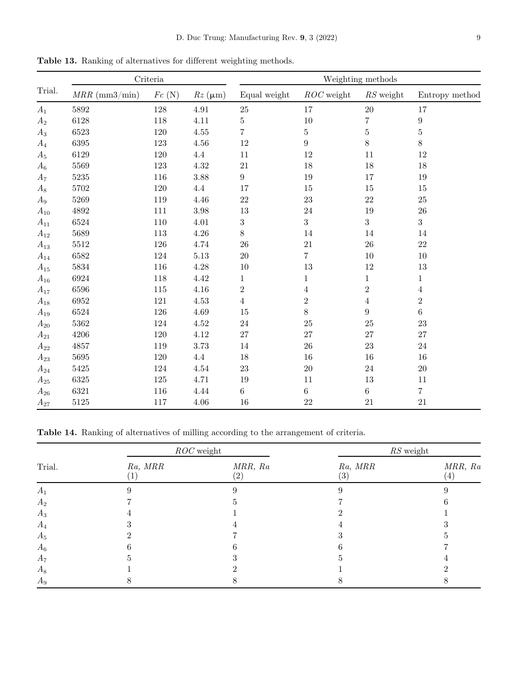<span id="page-8-0"></span>Table 13. Ranking of alternatives for different weighting methods.

|          |                 | $\operatorname{Criteria}$ |                 |                  |                  | Weighting methods |                  |
|----------|-----------------|---------------------------|-----------------|------------------|------------------|-------------------|------------------|
| Trial.   | $MRR$ (mm3/min) | $Fc$ (N)                  | $Rz$ ( $\mu$ m) | Equal weight     | $ROC$ weight     | $RS$ weight       | Entropy method   |
| $A_1$    | 5892            | 128                       | 4.91            | $25\,$           | 17               | $20\,$            | 17               |
| $A_2$    | 6128            | 118                       | 4.11            | 5                | 10               | $\overline{7}$    | $\boldsymbol{9}$ |
| $A_3$    | 6523            | 120                       | 4.55            | 7                | $\overline{5}$   | $\bf 5$           | $\bf 5$          |
| $A_4$    | 6395            | 123                       | 4.56            | 12               | $\boldsymbol{9}$ | $8\,$             | $8\,$            |
| $A_5$    | 6129            | 120                       | 4.4             | 11               | 12               | 11                | 12               |
| $A_6$    | 5569            | 123                       | $4.32\,$        | 21               | $18\,$           | $18\,$            | 18               |
| $A_7$    | 5235            | 116                       | 3.88            | $9\phantom{.0}$  | 19               | $17\,$            | 19               |
| $A_8$    | 5702            | $120\,$                   | 4.4             | 17               | $15\,$           | $15\,$            | $15\,$           |
| $A_9$    | 5269            | 119                       | 4.46            | 22               | $23\,$           | $22\,$            | $25\,$           |
| $A_{10}$ | 4892            | 111                       | 3.98            | 13               | $24\,$           | $19\,$            | 26               |
| $A_{11}$ | 6524            | 110                       | 4.01            | $\boldsymbol{3}$ | 3                | 3                 | $\overline{3}$   |
| $A_{12}$ | 5689            | 113                       | $4.26\,$        | $8\,$            | $14\,$           | $14\,$            | 14               |
| $A_{13}$ | 5512            | 126                       | 4.74            | 26               | 21               | ${\bf 26}$        | $22\,$           |
| $A_{14}$ | 6582            | 124                       | $5.13\,$        | 20               | $\overline{7}$   | $10\,$            | $10\,$           |
| $A_{15}$ | 5834            | 116                       | 4.28            | 10               | 13               | $12\,$            | 13               |
| $A_{16}$ | 6924            | 118                       | $4.42\,$        | 1                | $\mathbf{1}$     | 1                 | $\mathbf{1}$     |
| $A_{17}$ | 6596            | 115                       | $4.16\,$        | $\,2$            | $\overline{4}$   | $\sqrt{2}$        | $\overline{4}$   |
| $A_{18}$ | 6952            | 121                       | 4.53            | 4                | $\boldsymbol{2}$ | $\overline{4}$    | $\,2$            |
| $A_{19}$ | 6524            | 126                       | 4.69            | 15               | $8\,$            | $\boldsymbol{9}$  | $\,6\,$          |
| $A_{20}$ | 5362            | 124                       | $4.52\,$        | 24               | 25               | 25                | 23               |
| $A_{21}$ | 4206            | 120                       | $4.12\,$        | 27               | 27               | 27                | 27               |
| $A_{22}$ | 4857            | 119                       | 3.73            | 14               | 26               | 23                | 24               |
| $A_{23}$ | 5695            | 120                       | $4.4\,$         | 18               | $16\,$           | $16\,$            | $16\,$           |
| $A_{24}$ | 5425            | 124                       | $4.54\,$        | 23               | $20\,$           | 24                | 20               |
| $A_{25}$ | 6325            | $125\,$                   | 4.71            | 19               | $11\,$           | $13\,$            | $11\,$           |
| $A_{26}$ | 6321            | 116                       | 4.44            | $6\phantom{.0}$  | $\,6$            | $\,6\,$           | $\overline{7}$   |
| $A_{27}$ | 5125            | 117                       | 4.06            | 16               | $22\,$           | 21                | $21\,$           |

Table 14. Ranking of alternatives of milling according to the arrangement of criteria.

|        |         | $ROC$ weight             |                | $\mathit{RS}$ weight         |
|--------|---------|--------------------------|----------------|------------------------------|
| Trial. | Ra, MRR | MRR, Ra<br>$^{\prime}2)$ | Ra, MRR<br>(3) | MRR, Ra<br>$\left( 4\right)$ |
| $A_1$  |         |                          |                |                              |
| $A_2$  |         |                          |                |                              |
| $A_3$  |         |                          |                |                              |
| $A_4$  |         |                          |                |                              |
| $A_5$  |         |                          |                |                              |
| $A_6$  |         |                          |                |                              |
| $A_7$  |         |                          |                |                              |
| $A_8$  |         |                          |                |                              |
| $A_9$  |         |                          |                |                              |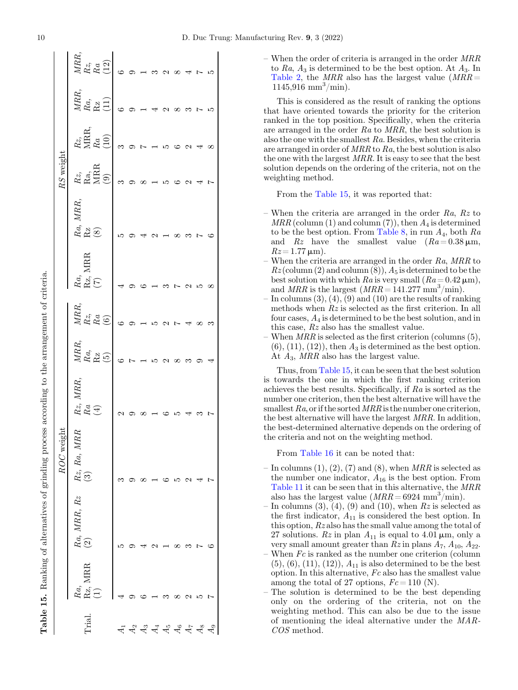|                       |                    |                        | ROC weight                |                     |                                                        |                                                                |                                                                               |                                                                        | $RS$ weigh                                                       |                                                                                              |                                                                                                                       |                                                                                          |
|-----------------------|--------------------|------------------------|---------------------------|---------------------|--------------------------------------------------------|----------------------------------------------------------------|-------------------------------------------------------------------------------|------------------------------------------------------------------------|------------------------------------------------------------------|----------------------------------------------------------------------------------------------|-----------------------------------------------------------------------------------------------------------------------|------------------------------------------------------------------------------------------|
| Trial.                | XIRR<br>Ra,<br>REJ | $Ra, MRR, \, Rz$ $(2)$ | œ<br>$Rz, Ra, MRI$<br>(3) | MRR<br>a<br>Ra<br>E | $\begin{array}{l} MRR,\\ Ra,\\ {\rm Rz}\\ \end{array}$ | $\begin{array}{l} MRR, \ Rz, \ Rz, \ \hline 6 \ 6 \end{array}$ | $\begin{array}{l} Ra,\\ \mathrm{Rz}, \mathrm{MRR}\\ \mathrm{(7)} \end{array}$ | $\begin{array}{l} Ra,\ MRR,\ \mathrm{Rz}\\ \mathrm{(8)}\\ \end{array}$ | $\begin{array}{c c} Rz, \ \text{R}a, \ \text{MRR} \ \end{array}$ | $\left.\begin{array}{l} Rz,\\ \text{MRR},\\ R\,a\\ \text{(10)}\\ 3\quad9 \end{array}\right.$ | $\begin{array}{l} \displaystyle \stackrel{MRR,}{Ra}, \\ \displaystyle \stackrel{Ra}{\stackrel{(11)}{0}}. \end{array}$ | $\left.\begin{array}{l} \Sigma R, \\ R, \\ R, \\ R, \\ \end{array}\right _{\text{(12)}}$ |
| 41                    |                    | مد                     |                           |                     |                                                        |                                                                |                                                                               |                                                                        |                                                                  |                                                                                              |                                                                                                                       |                                                                                          |
| $A_2$                 |                    |                        |                           |                     |                                                        |                                                                |                                                                               |                                                                        |                                                                  |                                                                                              |                                                                                                                       |                                                                                          |
|                       |                    |                        |                           |                     |                                                        | $\overline{a}$                                                 |                                                                               |                                                                        |                                                                  |                                                                                              |                                                                                                                       |                                                                                          |
| 4<br>4<br>4<br>4<br>5 |                    |                        |                           |                     |                                                        |                                                                |                                                                               |                                                                        | $\overline{a}$                                                   |                                                                                              |                                                                                                                       |                                                                                          |
|                       |                    |                        |                           |                     |                                                        |                                                                |                                                                               |                                                                        |                                                                  |                                                                                              |                                                                                                                       |                                                                                          |
| $\mathfrak{a}_6$      |                    |                        |                           |                     | $\infty$                                               |                                                                |                                                                               |                                                                        |                                                                  |                                                                                              |                                                                                                                       |                                                                                          |
| $\overline{A}$        |                    |                        |                           |                     |                                                        | $Q \cap F$ $\rightarrow$ $Q \cap T$                            |                                                                               |                                                                        |                                                                  | $P$ $\vdash$ $\vdash$ $\uplus$ $\heartsuit$ $\land$ $\lnot \lnot \lnot \lnot$                |                                                                                                                       | $\begin{array}{c} 2 \rightarrow 0 \\ 0 \rightarrow 0 \end{array}$                        |
| $^{48}$               | ທ                  | Ļ                      |                           |                     |                                                        |                                                                | ഥ                                                                             | Ļ                                                                      |                                                                  |                                                                                              | $\sim$ 10                                                                                                             |                                                                                          |
| $\frac{1}{2}$         | Ļ                  | S                      | Ļ                         |                     |                                                        |                                                                | $\infty$                                                                      | . ပ                                                                    |                                                                  |                                                                                              |                                                                                                                       | $\overline{10}$                                                                          |

– When the order of criteria is arranged in the order MRR to Ra,  $A_3$  is determined to be the best option. At  $A_3$ . In [Table 2,](#page-3-0) the  $MRR$  also has the largest value  $(MRR =$  $1145,916$  mm<sup>3</sup>/min).

This is considered as the result of ranking the options that have oriented towards the priority for the criterion ranked in the top position. Specifically, when the criteria are arranged in the order Ra to MRR, the best solution is also the one with the smallest Ra. Besides, when the criteria are arranged in order of MRR to Ra, the best solution is also the one with the largest MRR. It is easy to see that the best solution depends on the ordering of the criteria, not on the weighting method.

From the Table 15, it was reported that:

- When the criteria are arranged in the order  $Ra$ ,  $Rz$  to  $MRR$  (column (1) and column (7)), then  $A_4$  is determined to be the best option. From [Table 8](#page-6-0), in run  $A_4$ , both  $Ra$ and Rz have the smallest value  $(Ra = 0.38 \,\mu\text{m})$ ,  $Rz = 1.77 \,\mathrm{\mu m}$ ).
- When the criteria are arranged in the order  $Ra$ ,  $MRR$  to  $Rz$  (column (2) and column (8)),  $A_5$  is determined to be the best solution with which Ra is very small  $(Ra=0.42 \,\mu\text{m})$ , and  $MRR$  is the largest  $(MRR = 141.277 \text{ mm}^3/\text{min}).$
- $-$  In columns  $(3)$ ,  $(4)$ ,  $(9)$  and  $(10)$  are the results of ranking methods when  $Rz$  is selected as the first criterion. In all four cases, A<sup>4</sup> is determined to be the best solution, and in this case, Rz also has the smallest value.
- When  $MRR$  is selected as the first criterion (columns  $(5)$ ,  $(6)$ ,  $(11)$ ,  $(12)$ , then  $A_3$  is determined as the best option. At  $A_3$ , MRR also has the largest value.

Thus, from Table 15, it can be seen that the best solution is towards the one in which the first ranking criterion achieves the best results. Specifically, if Ra is sorted as the number one criterion, then the best alternative will have the smallest  $Ra$ , or if the sorted  $MRR$  is the number one criterion, the best alternative will have the largest MRR. In addition, the best-determined alternative depends on the ordering of the criteria and not on the weighting method.

From [Table 16](#page-10-0) it can be noted that:

- In columns  $(1), (2), (7)$  and  $(8)$ , when MRR is selected as the number one indicator,  $A_{16}$  is the best option. From [Table 11](#page-7-0) it can be seen that in this alternative, the MRR also has the largest value  $(MRR = 6924 \text{ mm}^3/\text{min})$ .
- In columns  $(3)$ ,  $(4)$ ,  $(9)$  and  $(10)$ , when  $Rz$  is selected as the first indicator,  $A_{11}$  is considered the best option. In this option, Rz also has the small value among the total of 27 solutions.  $Rz$  in plan  $A_{11}$  is equal to 4.01  $\mu$ m, only a very small amount greater than  $Rz$  in plans  $A_7$ ,  $A_{10}$ ,  $A_{22}$ .
- When  $Fc$  is ranked as the number one criterion (column  $(5), (6), (11), (12), A_{11}$  is also determined to be the best option. In this alternative, Fc also has the smallest value among the total of 27 options,  $Fc = 110$  (N).
- The solution is determined to be the best depending only on the ordering of the criteria, not on the weighting method. This can also be due to the issue of mentioning the ideal alternative under the MAR-COS method.

Table 15.

Ranking of alternatives of grinding process according to the arrangement of criteria.

**Table 15.** Ranking of alternatives of grinding process according to the arrangement of criteria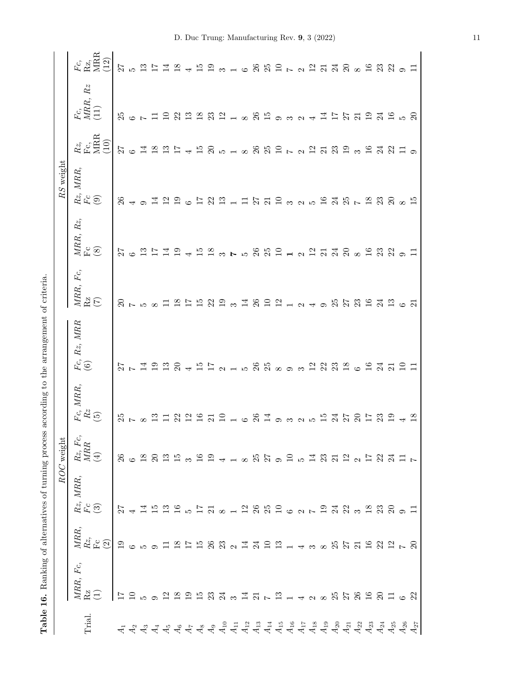<span id="page-10-0"></span>

|        | Table 16. Ranking of alternatives of turning process              |                                                               |                                                                          |                                                    |                                                       | according to the arrangement of criteria.        |                                    |                                                                                                                                                                                                                                                                                      |                             |                                                             |                                        |                           |
|--------|-------------------------------------------------------------------|---------------------------------------------------------------|--------------------------------------------------------------------------|----------------------------------------------------|-------------------------------------------------------|--------------------------------------------------|------------------------------------|--------------------------------------------------------------------------------------------------------------------------------------------------------------------------------------------------------------------------------------------------------------------------------------|-----------------------------|-------------------------------------------------------------|----------------------------------------|---------------------------|
|        |                                                                   |                                                               | ROC                                                                      | weight                                             |                                                       |                                                  |                                    |                                                                                                                                                                                                                                                                                      | $RS$ weight                 |                                                             |                                        |                           |
| Trial. | MRR, Fc,<br>$R\overline{C}$                                       | $\frac{MRR}{Rc}, \label{eq:RL}$ $\frac{Rz}{(2)}$              | $MRR,$<br>$\mathop{Rz}\limits^{\mathop{\sim}}_{\mathop{\leftarrow}}$ (3) | $\begin{array}{ll} Rz, \,Fc,\\MRR \end{array}$ (4) | $\begin{array}{l} Fe, \ MRR,\\ Rez\\ \end{array}$ (5) | $Fc,\,Rz,\,MRR$ $(6)$                            | $MRR, \; Fc,$<br>$R\overline{C}$   | MRR, Rz,<br>$\mathop{\mathrm{F}}\nolimits_{\mathcal{C}}$                                                                                                                                                                                                                             | $Rz$ , MRR,<br>Fc<br>(9)    | $\begin{array}{l} Rz,\\ {\rm F\,G},\\ {\rm MRR}\end{array}$ | $Rz$<br>$\frac{Fc}{MRR}$ .<br><br>(11) | Fc,<br>Rz,<br>MRR<br>(12) |
|        | $\overline{17}$                                                   | $^{0}1$                                                       | 77                                                                       |                                                    | 25                                                    |                                                  |                                    | 72                                                                                                                                                                                                                                                                                   | 26                          |                                                             |                                        |                           |
|        | $\overline{10}$                                                   | $\circ$ $\circ$                                               |                                                                          |                                                    |                                                       | $27$ $7$ $4$                                     | $\frac{2}{5}$ $\sim$ $\frac{2}{5}$ |                                                                                                                                                                                                                                                                                      |                             | $27$ $\frac{1000000000000}{20000000}$                       | $25$ 6 $\sim$                          |                           |
|        |                                                                   |                                                               |                                                                          |                                                    |                                                       |                                                  |                                    |                                                                                                                                                                                                                                                                                      | $\circ$                     |                                                             |                                        |                           |
|        |                                                                   |                                                               |                                                                          |                                                    |                                                       | $\overline{5}$                                   |                                    |                                                                                                                                                                                                                                                                                      | Ą                           |                                                             |                                        |                           |
|        |                                                                   |                                                               |                                                                          |                                                    |                                                       | 13                                               |                                    |                                                                                                                                                                                                                                                                                      |                             |                                                             |                                        |                           |
|        |                                                                   |                                                               |                                                                          |                                                    |                                                       | $\Omega$                                         | $\overline{8}$                     | $\overline{6}$                                                                                                                                                                                                                                                                       | $\frac{2}{1}$ $\frac{9}{1}$ |                                                             |                                        |                           |
|        |                                                                   |                                                               |                                                                          |                                                    |                                                       | $\overline{\phantom{a}}$                         |                                    |                                                                                                                                                                                                                                                                                      | G                           |                                                             |                                        |                           |
|        |                                                                   |                                                               |                                                                          |                                                    |                                                       | 15T                                              | $\frac{15}{2}$                     | $\overline{5}$                                                                                                                                                                                                                                                                       | $\overline{11}$             | $\overline{15}$                                             |                                        |                           |
|        |                                                                   |                                                               |                                                                          |                                                    |                                                       |                                                  | 22                                 | $\frac{\infty}{\infty}$                                                                                                                                                                                                                                                              |                             | $\Omega$                                                    |                                        |                           |
|        |                                                                   |                                                               |                                                                          |                                                    |                                                       |                                                  | $\overline{1}$                     |                                                                                                                                                                                                                                                                                      | 23n                         |                                                             |                                        |                           |
|        | 21 12 21 22 32 32 32 32 32 32 32 33 34 35 36 37 38 39 30 31 32 33 | 11 12 12 12 13 21 21 22 22 24 32 25 26 27 28 29 29 20 21 22 3 |                                                                          |                                                    |                                                       | $\alpha$ $\pm$ 10 $\%$ $\%$ $\infty$ 00 $\infty$ | $\frac{3}{14}$                     | $\sim$ 10                                                                                                                                                                                                                                                                            |                             | 51888252333                                                 | 12 22 23 23 14 26 26 26 27 28 29 20 21 |                           |
|        |                                                                   |                                                               |                                                                          |                                                    | $\circ$                                               |                                                  |                                    |                                                                                                                                                                                                                                                                                      |                             |                                                             |                                        |                           |
|        |                                                                   |                                                               |                                                                          |                                                    | 26                                                    |                                                  |                                    |                                                                                                                                                                                                                                                                                      |                             |                                                             |                                        |                           |
|        |                                                                   |                                                               |                                                                          |                                                    | $\frac{4}{1}$ 0 $\frac{3}{2}$                         |                                                  |                                    | $\begin{array}{c} 0.984 & 0.914 \\ 0.984 & 0.914 \\ 0.994 & 0.914 \\ 0.994 & 0.914 \\ 0.994 & 0.914 \\ 0.994 & 0.914 \\ 0.994 & 0.914 \\ 0.994 & 0.914 \\ 0.994 & 0.914 \\ 0.994 & 0.914 \\ 0.994 & 0.914 \\ 0.994 & 0.914 \\ 0.994 & 0.914 \\ 0.994 & 0.914 \\ 0.994 & 0.914 \\ 0.$ | 1251232545                  |                                                             |                                        |                           |
|        |                                                                   |                                                               |                                                                          |                                                    |                                                       |                                                  |                                    |                                                                                                                                                                                                                                                                                      |                             |                                                             |                                        |                           |
|        |                                                                   |                                                               |                                                                          |                                                    |                                                       |                                                  |                                    |                                                                                                                                                                                                                                                                                      |                             |                                                             |                                        |                           |
|        |                                                                   |                                                               |                                                                          |                                                    | $\sim$                                                |                                                  |                                    |                                                                                                                                                                                                                                                                                      |                             |                                                             |                                        |                           |
|        |                                                                   |                                                               |                                                                          |                                                    | ഹ                                                     |                                                  |                                    |                                                                                                                                                                                                                                                                                      |                             |                                                             |                                        |                           |
|        |                                                                   |                                                               |                                                                          |                                                    | $\frac{15}{2}$                                        |                                                  |                                    |                                                                                                                                                                                                                                                                                      |                             |                                                             |                                        |                           |
|        |                                                                   |                                                               |                                                                          |                                                    | $\mathbb{Z}^4$                                        |                                                  |                                    |                                                                                                                                                                                                                                                                                      |                             |                                                             |                                        |                           |
|        |                                                                   |                                                               |                                                                          |                                                    | 27                                                    | 28326577                                         |                                    |                                                                                                                                                                                                                                                                                      |                             |                                                             | 1152123452                             |                           |
|        |                                                                   |                                                               |                                                                          |                                                    | $\Omega$                                              |                                                  |                                    |                                                                                                                                                                                                                                                                                      | $\overline{z}$              | $\infty$                                                    |                                        |                           |
|        |                                                                   |                                                               |                                                                          |                                                    |                                                       |                                                  |                                    |                                                                                                                                                                                                                                                                                      | $18$ $23$                   | $16$<br>$24$                                                |                                        |                           |
|        |                                                                   |                                                               |                                                                          |                                                    | 23                                                    |                                                  |                                    |                                                                                                                                                                                                                                                                                      |                             |                                                             |                                        |                           |
|        |                                                                   |                                                               |                                                                          |                                                    | $\frac{0}{1}$                                         |                                                  |                                    |                                                                                                                                                                                                                                                                                      | 20                          | 22                                                          |                                        |                           |
|        |                                                                   |                                                               |                                                                          |                                                    |                                                       | $\Xi$ $\Xi$                                      | $\frac{6}{21}$                     | $\overline{a}$ $\overline{a}$                                                                                                                                                                                                                                                        | $\infty$                    | $\Box$                                                      |                                        |                           |
|        |                                                                   |                                                               |                                                                          |                                                    | 18                                                    |                                                  |                                    |                                                                                                                                                                                                                                                                                      | $\overline{5}$              |                                                             |                                        |                           |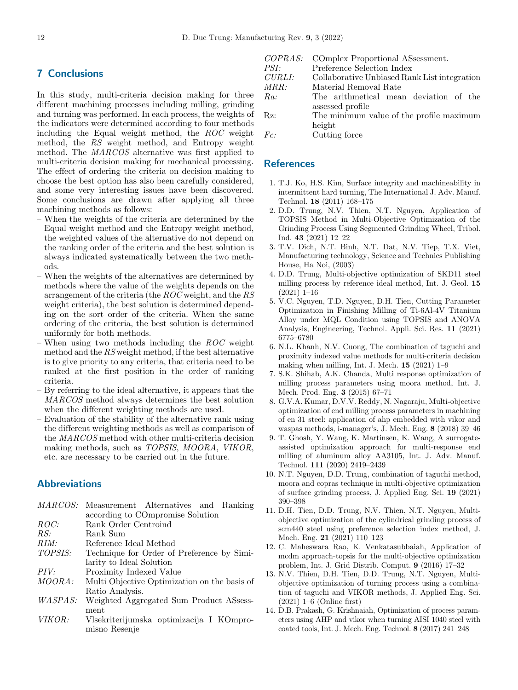## <span id="page-11-0"></span>7 Conclusions

In this study, multi-criteria decision making for three different machining processes including milling, grinding and turning was performed. In each process, the weights of the indicators were determined according to four methods including the Equal weight method, the ROC weight method, the RS weight method, and Entropy weight method. The MARCOS alternative was first applied to multi-criteria decision making for mechanical processing. The effect of ordering the criteria on decision making to choose the best option has also been carefully considered, and some very interesting issues have been discovered. Some conclusions are drawn after applying all three machining methods as follows:

- When the weights of the criteria are determined by the Equal weight method and the Entropy weight method, the weighted values of the alternative do not depend on the ranking order of the criteria and the best solution is always indicated systematically between the two methods.
- When the weights of the alternatives are determined by methods where the value of the weights depends on the arrangement of the criteria (the ROC weight, and the RS weight criteria), the best solution is determined depending on the sort order of the criteria. When the same ordering of the criteria, the best solution is determined uniformly for both methods.
- When using two methods including the  $ROC$  weight method and the RS weight method, if the best alternative is to give priority to any criteria, that criteria need to be ranked at the first position in the order of ranking criteria.
- By referring to the ideal alternative, it appears that the MARCOS method always determines the best solution when the different weighting methods are used.
- Evaluation of the stability of the alternative rank using the different weighting methods as well as comparison of the MARCOS method with other multi-criteria decision making methods, such as TOPSIS, MOORA, VIKOR, etc. are necessary to be carried out in the future.

# Abbreviations

| <i>MARCOS:</i> | Measurement Alternatives and Ranking         |
|----------------|----------------------------------------------|
|                | according to COmpromise Solution             |
| ROC:           | Rank Order Centroind                         |
| RS:            | Rank Sum                                     |
| RIM:           | Reference Ideal Method                       |
| TOPSIS:        | Technique for Order of Preference by Simi-   |
|                | larity to Ideal Solution                     |
| PIV:           | Proximity Indexed Value                      |
| <i>MOORA</i> : | Multi Objective Optimization on the basis of |
|                | Ratio Analysis.                              |
| <i>WASPAS:</i> | Weighted Aggregated Sum Product ASsess-      |
|                | ment                                         |
| <i>VIKOR:</i>  | Vlsekriterijumska optimizacija I KOmpro-     |

VIKOR: Vlsekriterijumska optimizacija I KOmpromisno Resenje

|             | COPRAS: COmplex Proportional ASsessment.     |
|-------------|----------------------------------------------|
| <i>PSI:</i> | Preference Selection Index                   |
| CURLI:      | Collaborative Unbiased Rank List integration |
| MRR:        | Material Removal Rate                        |
| Ra:         | The arithmetical mean deviation of the       |
|             | assessed profile                             |
| Rz:         | The minimum value of the profile maximum     |
|             | height                                       |
| Fc:         | Cutting force                                |

#### References

- 1. T.J. Ko, H.S. Kim, Surface integrity and machineability in intermittent hard turning, The International J. Adv. Manuf. Technol. 18 (2011) 168–175
- 2. D.D. Trung, N.V. Thien, N.T. Nguyen, Application of TOPSIS Method in Multi-Objective Optimization of the Grinding Process Using Segmented Grinding Wheel, Tribol. Ind. 43 (2021) 12–22
- 3. T.V. Dich, N.T. Binh, N.T. Dat, N.V. Tiep, T.X. Viet, Manufacturing technology, Science and Technics Publishing House, Ha Noi, (2003)
- 4. D.D. Trung, Multi-objective optimization of SKD11 steel milling process by reference ideal method, Int. J. Geol. 15 (2021) 1–16
- 5. V.C. Nguyen, T.D. Nguyen, D.H. Tien, Cutting Parameter Optimization in Finishing Milling of Ti-6Al-4V Titanium Alloy under MQL Condition using TOPSIS and ANOVA Analysis, Engineering, Technol. Appli. Sci. Res. 11 (2021) 6775–6780
- 6. N.L. Khanh, N.V. Cuong, The combination of taguchi and proximity indexed value methods for multi-criteria decision making when milling, Int. J. Mech.  $15$  (2021) 1–9
- 7. S.K. Shihab, A.K. Chanda, Multi response optimization of milling process parameters using moora method, Int. J. Mech. Prod. Eng. 3 (2015) 67–71
- 8. G.V.A. Kumar, D.V.V. Reddy, N. Nagaraju, Multi-objective optimization of end milling process parameters in machining of en 31 steel: application of ahp embedded with vikor and waspas methods, i-manager's, J. Mech. Eng. 8 (2018) 39–46
- 9. T. Ghosh, Y. Wang, K. Martinsen, K. Wang, A surrogateassisted optimization approach for multi-response end milling of aluminum alloy AA3105, Int. J. Adv. Manuf. Technol. 111 (2020) 2419–2439
- 10. N.T. Nguyen, D.D. Trung, combination of taguchi method, moora and copras technique in multi-objective optimization of surface grinding process, J. Applied Eng. Sci. 19 (2021) 390–398
- 11. D.H. Tien, D.D. Trung, N.V. Thien, N.T. Nguyen, Multiobjective optimization of the cylindrical grinding process of scm440 steel using preference selection index method, J. Mach. Eng. 21 (2021) 110–123
- 12. C. Maheswara Rao, K. Venkatasubbaiah, Application of mcdm approach-topsis for the multi-objective optimization problem, Int. J. Grid Distrib. Comput. 9 (2016) 17–32
- 13. N.V. Thien, D.H. Tien, D.D. Trung, N.T. Nguyen, Multiobjective optimization of turning process using a combination of taguchi and VIKOR methods, J. Applied Eng. Sci. (2021) 1–6 (Online first)
- 14. D.B. Prakash, G. Krishnaiah, Optimization of process parameters using AHP and vikor when turning AISI 1040 steel with coated tools, Int. J. Mech. Eng. Technol. 8 (2017) 241–248